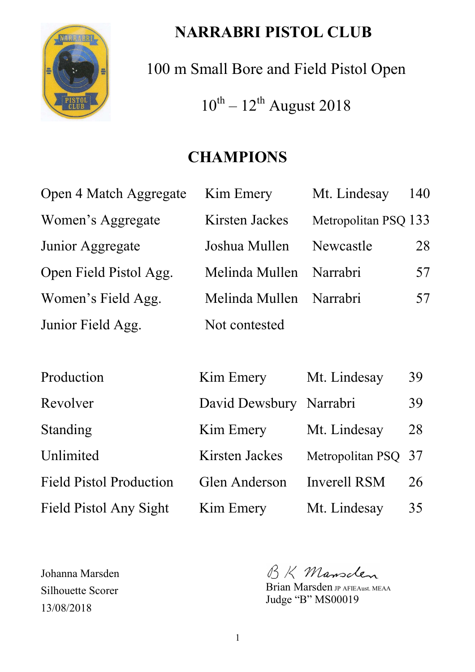

# **NARRABRI PISTOL CLUB**

100 m Small Bore and Field Pistol Open  $10^{th} - 12^{th}$  August 2018

# **CHAMPIONS**

| Open 4 Match Aggregate | Kim Emery      | Mt. Lindesay         | 140 |
|------------------------|----------------|----------------------|-----|
| Women's Aggregate      | Kirsten Jackes | Metropolitan PSQ 133 |     |
| Junior Aggregate       | Joshua Mullen  | Newcastle            | 28  |
| Open Field Pistol Agg. | Melinda Mullen | Narrabri             | 57  |
| Women's Field Agg.     | Melinda Mullen | Narrabri             | 57  |
| Junior Field Agg.      | Not contested  |                      |     |
|                        |                |                      |     |

| Production                     | Kim Emery               | Mt. Lindesay        | 39 |
|--------------------------------|-------------------------|---------------------|----|
| Revolver                       | David Dewsbury Narrabri |                     | 39 |
| <b>Standing</b>                | Kim Emery               | Mt. Lindesay        | 28 |
| Unlimited                      | Kirsten Jackes          | Metropolitan PSQ 37 |    |
| <b>Field Pistol Production</b> | Glen Anderson           | <b>Inverell RSM</b> | 26 |
| Field Pistol Any Sight         | Kim Emery               | Mt. Lindesay        | 35 |

Johanna Marsden Silhouette Scorer 13/08/2018

BK Mansclen

Brian Marsden JP AFIEAust. MEAA Judge "B" MS00019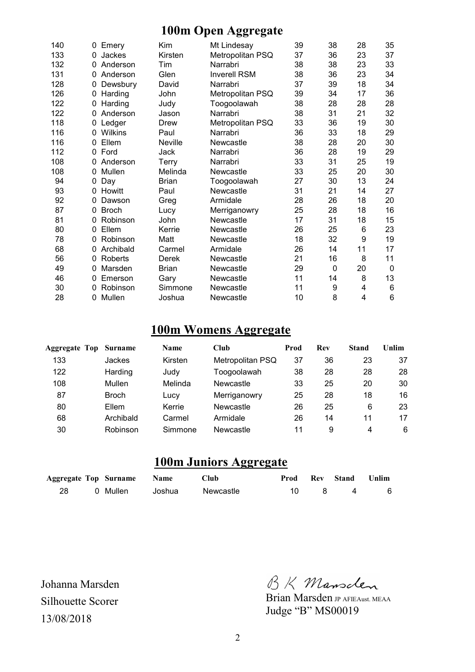#### **100m Open Aggregate**

| 140 | 0 | Emery        | Kim          | Mt Lindesay         | 39 | 38           | 28 | 35              |
|-----|---|--------------|--------------|---------------------|----|--------------|----|-----------------|
| 133 | 0 | Jackes       | Kirsten      | Metropolitan PSQ    | 37 | 36           | 23 | 37              |
| 132 | 0 | Anderson     | Tim          | Narrabri            | 38 | 38           | 23 | 33              |
| 131 | 0 | Anderson     | Glen         | <b>Inverell RSM</b> | 38 | 36           | 23 | 34              |
| 128 | 0 | Dewsbury     | David        | Narrabri            | 37 | 39           | 18 | 34              |
| 126 | 0 | Harding      | John         | Metropolitan PSQ    | 39 | 34           | 17 | 36              |
| 122 | 0 | Harding      | Judy         | Toogoolawah         | 38 | 28           | 28 | 28              |
| 122 |   | Anderson     | Jason        | Narrabri            | 38 | 31           | 21 | 32              |
| 118 | 0 | Ledger       | Drew         | Metropolitan PSQ    | 33 | 36           | 19 | 30              |
| 116 | 0 | Wilkins      | Paul         | Narrabri            | 36 | 33           | 18 | 29              |
| 116 | 0 | Ellem        | Neville      | Newcastle           | 38 | 28           | 20 | 30              |
| 112 | 0 | Ford         | Jack         | Narrabri            | 36 | 28           | 19 | 29              |
| 108 | 0 | Anderson     | Terry        | Narrabri            | 33 | 31           | 25 | 19              |
| 108 | 0 | Mullen       | Melinda      | Newcastle           | 33 | 25           | 20 | 30              |
| 94  | 0 | Day          | <b>Brian</b> | Toogoolawah         | 27 | 30           | 13 | 24              |
| 93  | 0 | Howitt       | Paul         | Newcastle           | 31 | 21           | 14 | 27              |
| 92  | 0 | Dawson       | Greg         | Armidale            | 28 | 26           | 18 | 20              |
| 87  | 0 | <b>Broch</b> | Lucy         | Merriganowry        | 25 | 28           | 18 | 16              |
| 81  | 0 | Robinson     | John         | Newcastle           | 17 | 31           | 18 | 15              |
| 80  | 0 | Ellem        | Kerrie       | Newcastle           | 26 | 25           | 6  | 23              |
| 78  | 0 | Robinson     | Matt         | Newcastle           | 18 | 32           | 9  | 19              |
| 68  | 0 | Archibald    | Carmel       | Armidale            | 26 | 14           | 11 | 17              |
| 56  | 0 | Roberts      | <b>Derek</b> | Newcastle           | 21 | 16           | 8  | 11              |
| 49  | 0 | Marsden      | <b>Brian</b> | Newcastle           | 29 | $\mathbf{0}$ | 20 | $\mathbf{0}$    |
| 46  | 0 | Emerson      | Gary         | Newcastle           | 11 | 14           | 8  | 13              |
| 30  | 0 | Robinson     | Simmone      | Newcastle           | 11 | 9            | 4  | 6               |
| 28  | 0 | Mullen       | Joshua       | Newcastle           | 10 | 8            | 4  | $6\phantom{1}6$ |

### **100m Womens Aggregate**

| <b>Aggregate Top Surname</b> |              | Name    | Club             | Prod | Rev | Stand | Unlim |
|------------------------------|--------------|---------|------------------|------|-----|-------|-------|
| 133                          | Jackes       | Kirsten | Metropolitan PSQ | 37   | 36  | 23    | 37    |
| 122                          | Harding      | Judy    | Toogoolawah      | 38   | 28  | 28    | 28    |
| 108                          | Mullen       | Melinda | Newcastle        | 33   | 25  | 20    | 30    |
| 87                           | <b>Broch</b> | Lucy    | Merriganowry     | 25   | 28  | 18    | 16    |
| 80                           | Ellem        | Kerrie  | Newcastle        | 26   | 25  | 6     | 23    |
| 68                           | Archibald    | Carmel  | Armidale         | 26   | 14  | 11    | 17    |
| 30                           | Robinson     | Simmone | Newcastle        | 11   | 9   | 4     | 6     |

### **100m Juniors Aggregate**

|  | <b>Aggregate Top Surname Name</b> |        | Club      |        | <b>Prod Rev Stand Unlim</b> |     |
|--|-----------------------------------|--------|-----------|--------|-----------------------------|-----|
|  | 0 Mullen                          | Joshua | Newcastle | $10 -$ | 84                          | - 6 |

Johanna Marsden Silhouette Scorer 13/08/2018

BK Mansclen

Brian Marsden JP AFIEAust. MEAA Judge "B" MS00019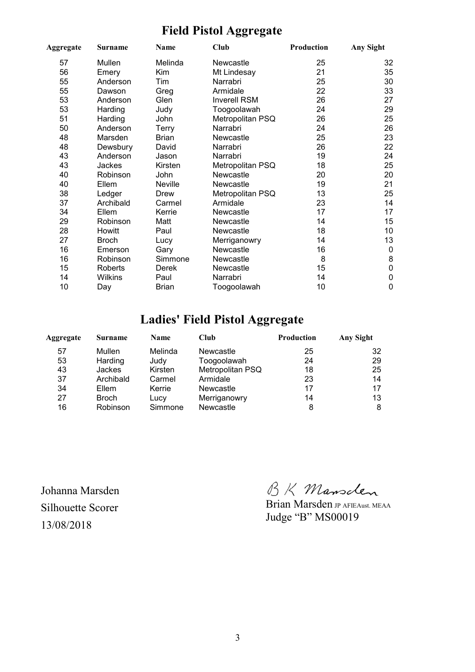# **Field Pistol Aggregate**

| Aggregate | Club<br>Name<br><b>Surname</b> |              | Production          | Any Sight |                  |
|-----------|--------------------------------|--------------|---------------------|-----------|------------------|
| 57        | Mullen                         | Melinda      | Newcastle           | 25        | 32               |
| 56        | Emery                          | Kim          | Mt Lindesay         | 21        | 35               |
| 55        | Anderson                       | Tim          | Narrabri            | 25        | 30               |
| 55        | Dawson                         | Greg         | Armidale            | 22        | 33               |
| 53        | Anderson                       | Glen         | <b>Inverell RSM</b> | 26        | 27               |
| 53        | Harding                        | Judy         | Toogoolawah         | 24        | 29               |
| 51        | Harding                        | John         | Metropolitan PSQ    | 26        | 25               |
| 50        | Anderson                       | Terry        | Narrabri            | 24        | 26               |
| 48        | Marsden                        | <b>Brian</b> | Newcastle           | 25        | 23               |
| 48        | Dewsbury                       | David        | Narrabri            | 26        | 22               |
| 43        | Anderson                       | Jason        | Narrabri            | 19        | 24               |
| 43        | Jackes                         | Kirsten      | Metropolitan PSQ    | 18        | 25               |
| 40        | Robinson                       | John         | Newcastle           | 20        | 20               |
| 40        | Ellem                          | Neville      | Newcastle           | 19        | 21               |
| 38        | Ledger                         | Drew         | Metropolitan PSQ    | 13        | 25               |
| 37        | Archibald                      | Carmel       | Armidale            | 23        | 14               |
| 34        | Ellem                          | Kerrie       | Newcastle           | 17        | 17               |
| 29        | Robinson                       | Matt         | Newcastle           | 14        | 15               |
| 28        | Howitt                         | Paul         | Newcastle           | 18        | 10               |
| 27        | <b>Broch</b>                   | Lucy         | Merriganowry        | 14        | 13               |
| 16        | Emerson                        | Gary         | Newcastle           | 16        | $\mathbf 0$      |
| 16        | Robinson                       | Simmone      | Newcastle           | 8         | 8                |
| 15        | Roberts                        | <b>Derek</b> | Newcastle           | 15        | $\boldsymbol{0}$ |
| 14        | Wilkins                        | Paul         | Narrabri            | 14        | 0                |
| 10        | Day                            | <b>Brian</b> | Toogoolawah         | 10        | $\mathbf 0$      |

## **Ladies' Field Pistol Aggregate**

| Aggregate | Club<br><b>Name</b><br><b>Surname</b> |         | <b>Production</b> | Any Sight |    |
|-----------|---------------------------------------|---------|-------------------|-----------|----|
| 57        | Mullen                                | Melinda | Newcastle         | 25        | 32 |
| 53        | Harding                               | Judy    | Toogoolawah       | 24        | 29 |
| 43        | <b>Jackes</b>                         | Kirsten | Metropolitan PSQ  | 18        | 25 |
| 37        | Archibald                             | Carmel  | Armidale          | 23        | 14 |
| 34        | Ellem                                 | Kerrie  | Newcastle         | 17        | 17 |
| 27        | <b>Broch</b>                          | Lucy    | Merriganowry      | 14        | 13 |
| 16        | Robinson                              | Simmone | Newcastle         | 8         | 8  |

Johanna Marsden Silhouette Scorer 13/08/2018

BK Mansclen

Brian Marsden JP AFIEAust. MEAA Judge "B" MS00019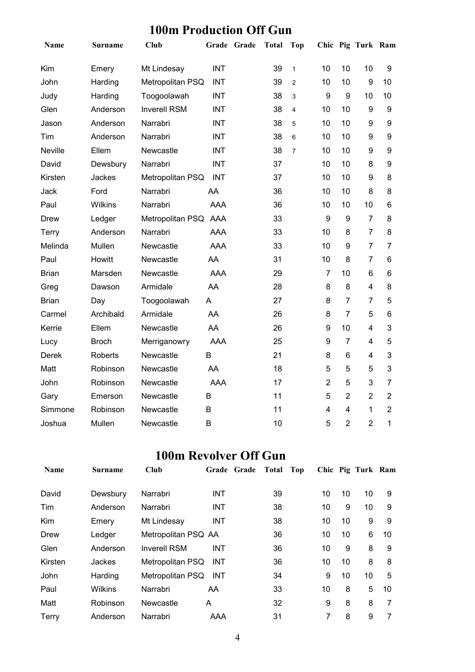### **100m Production Off Gun**

| Name           | Surname        | <b>Club</b>         |            | Grade Grade | <b>Total</b> | <b>Top</b>     |                  |                  | Chic Pig Turk Ram |                |
|----------------|----------------|---------------------|------------|-------------|--------------|----------------|------------------|------------------|-------------------|----------------|
| Kim            | Emery          | Mt Lindesay         | <b>INT</b> |             | 39           | $\mathbf{1}$   | 10               | 10               | 10                | 9              |
| John           | Harding        | Metropolitan PSQ    | <b>INT</b> |             | 39           | $\overline{2}$ | 10               | 10               | 9                 | 10             |
| Judy           | Harding        | Toogoolawah         | <b>INT</b> |             | 38           | 3              | $\boldsymbol{9}$ | $\boldsymbol{9}$ | 10                | 10             |
| Glen           | Anderson       | <b>Inverell RSM</b> | <b>INT</b> |             | 38           | 4              | 10               | 10               | $\boldsymbol{9}$  | 9              |
| Jason          | Anderson       | Narrabri            | <b>INT</b> |             | 38           | 5              | 10               | 10               | 9                 | 9              |
| Tim            | Anderson       | Narrabri            | <b>INT</b> |             | 38           | 6              | 10               | 10               | 9                 | 9              |
| <b>Neville</b> | Ellem          | Newcastle           | <b>INT</b> |             | 38           | $\overline{7}$ | 10               | 10               | 9                 | 9              |
| David          | Dewsbury       | Narrabri            | <b>INT</b> |             | 37           |                | 10               | 10               | 8                 | 9              |
| Kirsten        | Jackes         | Metropolitan PSQ    | <b>INT</b> |             | 37           |                | 10               | 10               | 9                 | 8              |
| Jack           | Ford           | Narrabri            | AA         |             | 36           |                | 10               | 10               | 8                 | 8              |
| Paul           | Wilkins        | Narrabri            | <b>AAA</b> |             | 36           |                | 10               | 10               | 10                | 6              |
| Drew           | Ledger         | Metropolitan PSQ    | AAA        |             | 33           |                | 9                | 9                | $\overline{7}$    | 8              |
| Terry          | Anderson       | Narrabri            | <b>AAA</b> |             | 33           |                | 10               | 8                | $\overline{7}$    | 8              |
| Melinda        | Mullen         | Newcastle           | <b>AAA</b> |             | 33           |                | 10               | 9                | $\overline{7}$    | $\overline{7}$ |
| Paul           | Howitt         | Newcastle           | AA         |             | 31           |                | 10               | 8                | $\overline{7}$    | 6              |
| <b>Brian</b>   | Marsden        | Newcastle           | <b>AAA</b> |             | 29           |                | $\overline{7}$   | 10               | 6                 | 6              |
| Greg           | Dawson         | Armidale            | AA         |             | 28           |                | 8                | 8                | 4                 | 8              |
| <b>Brian</b>   | Day            | Toogoolawah         | A          |             | 27           |                | 8                | $\overline{7}$   | $\overline{7}$    | 5              |
| Carmel         | Archibald      | Armidale            | AA         |             | 26           |                | 8                | $\overline{7}$   | 5                 | 6              |
| Kerrie         | Ellem          | Newcastle           | AA         |             | 26           |                | 9                | 10               | 4                 | 3              |
| Lucy           | <b>Broch</b>   | Merriganowry        | <b>AAA</b> |             | 25           |                | $\boldsymbol{9}$ | $\overline{7}$   | $\overline{4}$    | 5              |
| Derek          | <b>Roberts</b> | Newcastle           | B          |             | 21           |                | 8                | $6\phantom{1}$   | 4                 | 3              |
| Matt           | Robinson       | Newcastle           | AA         |             | 18           |                | 5                | 5                | 5                 | 3              |
| John           | Robinson       | Newcastle           | <b>AAA</b> |             | 17           |                | $\overline{2}$   | 5                | 3                 | $\overline{7}$ |
| Gary           | Emerson        | Newcastle           | B          |             | 11           |                | 5                | $\overline{2}$   | $\overline{2}$    | $\overline{2}$ |
| Simmone        | Robinson       | Newcastle           | B          |             | 11           |                | $\overline{4}$   | 4                | 1                 | $\overline{2}$ |
| Joshua         | Mullen         | Newcastle           | B          |             | 10           |                | 5                | $\overline{2}$   | $\overline{2}$    | 1              |

### **100m Revolver Off Gun**

| <b>Name</b> | Surname        | Club                |            | Grade Grade | Total | Top |    |    | Chic Pig Turk Ram |    |
|-------------|----------------|---------------------|------------|-------------|-------|-----|----|----|-------------------|----|
| David       | Dewsbury       | Narrabri            | <b>INT</b> |             | 39    |     | 10 | 10 | 10                | 9  |
| Tim         | Anderson       | Narrabri            | <b>INT</b> |             | 38    |     | 10 | 9  | 10                | 9  |
| Kim         | Emery          | Mt Lindesay         | <b>INT</b> |             | 38    |     | 10 | 10 | 9                 | 9  |
| Drew        | Ledger         | Metropolitan PSQ AA |            |             | 36    |     | 10 | 10 | 6                 | 10 |
| Glen        | Anderson       | <b>Inverell RSM</b> | <b>INT</b> |             | 36    |     | 10 | 9  | 8                 | 9  |
| Kirsten     | Jackes         | Metropolitan PSQ    | <b>INT</b> |             | 36    |     | 10 | 10 | 8                 | 8  |
| John        | Harding        | Metropolitan PSQ    | <b>INT</b> |             | 34    |     | 9  | 10 | 10                | 5  |
| Paul        | <b>Wilkins</b> | Narrabri            | AA         |             | 33    |     | 10 | 8  | 5                 | 10 |
| Matt        | Robinson       | Newcastle           | A          |             | 32    |     | 9  | 8  | 8                 | 7  |
| Terry       | Anderson       | Narrabri            | AAA        |             | 31    |     | 7  | 8  | 9                 |    |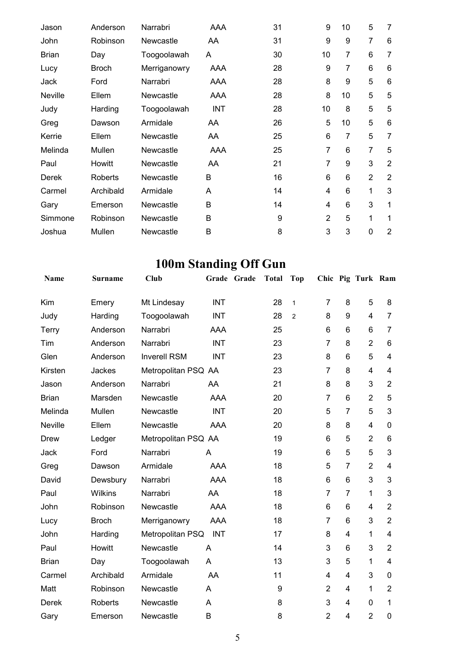| Jason        | Anderson       | Narrabri     | AAA        | 31 | 9              | 10 | 5              | 7              |
|--------------|----------------|--------------|------------|----|----------------|----|----------------|----------------|
| John         | Robinson       | Newcastle    | AA         | 31 | 9              | 9  | $\overline{7}$ | 6              |
| <b>Brian</b> | Day            | Toogoolawah  | A          | 30 | 10             | 7  | 6              | 7              |
| Lucy         | <b>Broch</b>   | Merriganowry | AAA        | 28 | 9              | 7  | 6              | 6              |
| Jack         | Ford           | Narrabri     | AAA        | 28 | 8              | 9  | 5              | 6              |
| Neville      | Ellem          | Newcastle    | AAA        | 28 | 8              | 10 | 5              | 5              |
| Judy         | Harding        | Toogoolawah  | <b>INT</b> | 28 | 10             | 8  | 5              | 5              |
| Greg         | Dawson         | Armidale     | AA         | 26 | 5              | 10 | 5              | 6              |
| Kerrie       | Ellem          | Newcastle    | AA         | 25 | 6              | 7  | 5              | $\overline{7}$ |
| Melinda      | Mullen         | Newcastle    | AAA        | 25 | 7              | 6  | $\overline{7}$ | 5              |
| Paul         | Howitt         | Newcastle    | AA         | 21 | 7              | 9  | 3              | $\overline{2}$ |
| Derek        | <b>Roberts</b> | Newcastle    | B          | 16 | 6              | 6  | $\overline{2}$ | 2              |
| Carmel       | Archibald      | Armidale     | A          | 14 | 4              | 6  | 1              | 3              |
| Gary         | Emerson        | Newcastle    | B          | 14 | 4              | 6  | 3              | 1              |
| Simmone      | Robinson       | Newcastle    | B          | 9  | $\overline{2}$ | 5  | 1              | 1              |
| Joshua       | Mullen         | Newcastle    | B          | 8  | 3              | 3  | 0              | $\overline{2}$ |

# **100m Standing Off Gun**

| <b>Name</b>  | <b>Surname</b> | Club                |            | Grade Grade | <b>Total</b> | <b>Top</b>     |                |                | Chic Pig Turk Ram |                         |
|--------------|----------------|---------------------|------------|-------------|--------------|----------------|----------------|----------------|-------------------|-------------------------|
| Kim          | Emery          | Mt Lindesay         | <b>INT</b> |             | 28           | $\mathbf{1}$   | 7              | 8              | 5                 | 8                       |
| Judy         | Harding        | Toogoolawah         | <b>INT</b> |             | 28           | $\overline{2}$ | 8              | 9              | $\overline{4}$    | $\overline{7}$          |
| Terry        | Anderson       | Narrabri            | <b>AAA</b> |             | 25           |                | 6              | 6              | 6                 | 7                       |
| Tim          | Anderson       | Narrabri            | <b>INT</b> |             | 23           |                | $\overline{7}$ | 8              | $\overline{2}$    | 6                       |
| Glen         | Anderson       | <b>Inverell RSM</b> | <b>INT</b> |             | 23           |                | 8              | 6              | 5                 | $\overline{4}$          |
| Kirsten      | Jackes         | Metropolitan PSQ AA |            |             | 23           |                | $\overline{7}$ | 8              | $\overline{4}$    | $\overline{\mathbf{4}}$ |
| Jason        | Anderson       | Narrabri            | AA         |             | 21           |                | 8              | 8              | 3                 | $\overline{2}$          |
| <b>Brian</b> | Marsden        | Newcastle           | <b>AAA</b> |             | 20           |                | $\overline{7}$ | 6              | $\overline{2}$    | 5                       |
| Melinda      | Mullen         | Newcastle           | <b>INT</b> |             | 20           |                | 5              | $\overline{7}$ | 5                 | 3                       |
| Neville      | Ellem          | Newcastle           | <b>AAA</b> |             | 20           |                | 8              | 8              | 4                 | 0                       |
| Drew         | Ledger         | Metropolitan PSQ AA |            |             | 19           |                | 6              | 5              | $\overline{2}$    | 6                       |
| Jack         | Ford           | Narrabri            | Α          |             | 19           |                | 6              | 5              | 5                 | 3                       |
| Greg         | Dawson         | Armidale            | <b>AAA</b> |             | 18           |                | 5              | $\overline{7}$ | $\overline{2}$    | 4                       |
| David        | Dewsbury       | Narrabri            | <b>AAA</b> |             | 18           |                | 6              | 6              | 3                 | 3                       |
| Paul         | Wilkins        | Narrabri            | AA         |             | 18           |                | 7              | $\overline{7}$ | 1                 | 3                       |
| John         | Robinson       | Newcastle           | <b>AAA</b> |             | 18           |                | 6              | 6              | 4                 | $\overline{2}$          |
| Lucy         | <b>Broch</b>   | Merriganowry        | <b>AAA</b> |             | 18           |                | 7              | 6              | 3                 | $\overline{2}$          |
| John         | Harding        | Metropolitan PSQ    | <b>INT</b> |             | 17           |                | 8              | 4              | 1                 | $\overline{\mathbf{4}}$ |
| Paul         | Howitt         | Newcastle           | A          |             | 14           |                | 3              | 6              | 3                 | $\overline{2}$          |
| <b>Brian</b> | Day            | Toogoolawah         | A          |             | 13           |                | 3              | 5              | 1                 | $\overline{\mathbf{4}}$ |
| Carmel       | Archibald      | Armidale            | AA         |             | 11           |                | 4              | 4              | 3                 | $\mathbf{0}$            |
| Matt         | Robinson       | Newcastle           | A          |             | 9            |                | $\overline{2}$ | 4              | 1                 | $\overline{2}$          |
| Derek        | <b>Roberts</b> | Newcastle           | A          |             | 8            |                | 3              | 4              | 0                 | 1                       |
| Gary         | Emerson        | Newcastle           | B          |             | 8            |                | $\overline{2}$ | 4              | $\overline{2}$    | 0                       |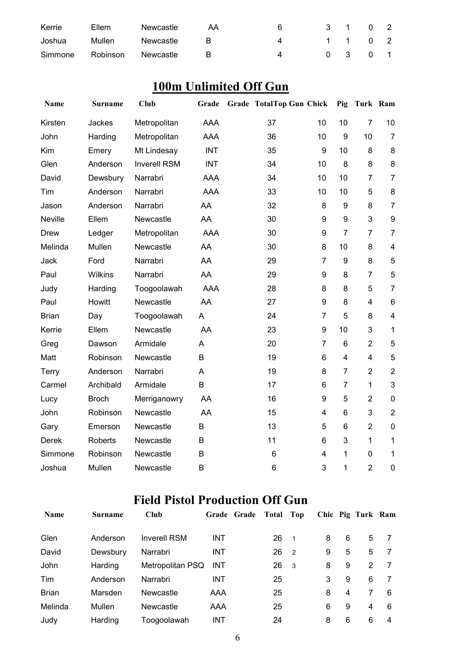| Kerrie  | Ellem    | Newcastle | AA | 6 | 3 1 0 2 |  |
|---------|----------|-----------|----|---|---------|--|
| Joshua  | Mullen   | Newcastle | R  | 4 | 1 1 0 2 |  |
| Simmone | Robinson | Newcastle | R  |   | 0 3 0 1 |  |

# **100m Unlimited Off Gun**

| Name         | <b>Surname</b> | <b>Club</b>         | Grade      | <b>Grade TotalTop Gun Chick</b> |                |                | Pig Turk Ram   |                         |
|--------------|----------------|---------------------|------------|---------------------------------|----------------|----------------|----------------|-------------------------|
| Kirsten      | Jackes         | Metropolitan        | <b>AAA</b> | 37                              | 10             | 10             | $\overline{7}$ | 10                      |
| John         | Harding        | Metropolitan        | <b>AAA</b> | 36                              | 10             | 9              | 10             | $\overline{7}$          |
| Kim          | Emery          | Mt Lindesay         | <b>INT</b> | 35                              | 9              | 10             | 8              | 8                       |
| Glen         | Anderson       | <b>Inverell RSM</b> | <b>INT</b> | 34                              | 10             | 8              | 8              | 8                       |
| David        | Dewsbury       | Narrabri            | <b>AAA</b> | 34                              | 10             | 10             | $\overline{7}$ | $\overline{7}$          |
| Tim          | Anderson       | Narrabri            | <b>AAA</b> | 33                              | 10             | 10             | 5              | 8                       |
| Jason        | Anderson       | Narrabri            | AA         | 32                              | 8              | 9              | 8              | $\overline{7}$          |
| Neville      | Ellem          | Newcastle           | AA         | 30                              | 9              | 9              | 3              | 9                       |
| <b>Drew</b>  | Ledger         | Metropolitan        | <b>AAA</b> | 30                              | 9              | $\overline{7}$ | $\overline{7}$ | $\overline{7}$          |
| Melinda      | Mullen         | Newcastle           | AA         | 30                              | 8              | 10             | 8              | $\overline{\mathbf{4}}$ |
| Jack         | Ford           | Narrabri            | AA         | 29                              | $\overline{7}$ | 9              | 8              | 5                       |
| Paul         | <b>Wilkins</b> | Narrabri            | AA         | 29                              | 9              | 8              | $\overline{7}$ | 5                       |
| Judy         | Harding        | Toogoolawah         | <b>AAA</b> | 28                              | 8              | 8              | 5              | $\overline{7}$          |
| Paul         | Howitt         | Newcastle           | AA         | 27                              | 9              | 8              | $\overline{4}$ | $\,6$                   |
| <b>Brian</b> | Day            | Toogoolawah         | A          | 24                              | $\overline{7}$ | 5              | 8              | $\overline{\mathbf{4}}$ |
| Kerrie       | Ellem          | Newcastle           | AA         | 23                              | 9              | 10             | 3              | $\mathbf{1}$            |
| Greg         | Dawson         | Armidale            | A          | 20                              | $\overline{7}$ | 6              | $\overline{2}$ | 5                       |
| Matt         | Robinson       | Newcastle           | B          | 19                              | 6              | 4              | $\overline{4}$ | 5                       |
| Terry        | Anderson       | Narrabri            | A          | 19                              | 8              | $\overline{7}$ | $\overline{2}$ | $\overline{2}$          |
| Carmel       | Archibald      | Armidale            | B          | 17                              | 6              | 7              | $\mathbf{1}$   | $\mathfrak{B}$          |
| Lucy         | <b>Broch</b>   | Merriganowry        | AA         | 16                              | 9              | 5              | $\overline{2}$ | $\mathbf 0$             |
| John         | Robinson       | Newcastle           | AA         | 15                              | $\overline{4}$ | 6              | 3              | $\overline{2}$          |
| Gary         | Emerson        | Newcastle           | B          | 13                              | 5              | 6              | $\overline{2}$ | $\pmb{0}$               |
| Derek        | Roberts        | Newcastle           | B          | 11                              | 6              | 3              | $\mathbf{1}$   | $\mathbf{1}$            |
| Simmone      | Robinson       | Newcastle           | B          | 6                               | 4              | $\mathbf{1}$   | 0              | 1                       |
| Joshua       | Mullen         | Newcastle           | B          | $6\phantom{1}$                  | 3              | 1              | $\overline{2}$ | $\mathbf 0$             |

# **Field Pistol Production Off Gun**

| <b>Name</b>  | <b>Surname</b> | <b>Club</b>         |            | Grade Grade | Total | Top            |   |   | Chic Pig Turk Ram |   |
|--------------|----------------|---------------------|------------|-------------|-------|----------------|---|---|-------------------|---|
| Glen         | Anderson       | <b>Inverell RSM</b> | INT        |             | 26    | $\overline{1}$ | 8 | 6 | 5                 |   |
| David        | Dewsbury       | Narrabri            | <b>INT</b> |             | 26    | $\overline{2}$ | 9 | 5 | 5                 |   |
| John         | Harding        | Metropolitan PSQ    | <b>INT</b> |             | 26    | - 3            | 8 | 9 | 2                 |   |
| Tim          | Anderson       | Narrabri            | INT        |             | 25    |                | 3 | 9 | 6                 |   |
| <b>Brian</b> | Marsden        | Newcastle           | AAA        |             | 25    |                | 8 | 4 |                   | 6 |
| Melinda      | Mullen         | Newcastle           | AAA        |             | 25    |                | 6 | 9 | 4                 | 6 |
| Judy         | Harding        | Toogoolawah         | INT        |             | 24    |                | 8 | 6 | 6                 | 4 |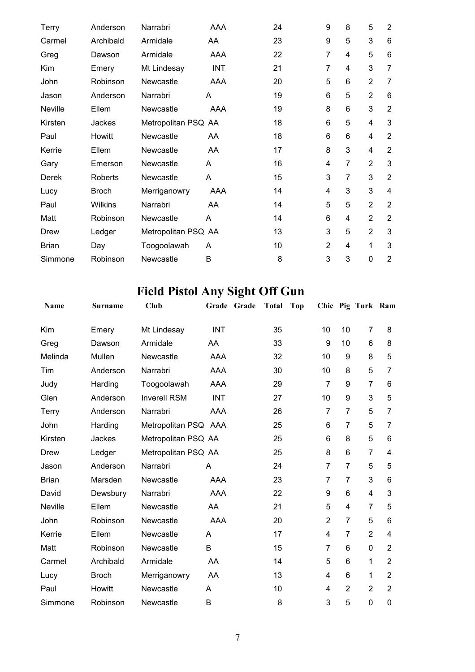| Terry          | Anderson     | Narrabri            | <b>AAA</b> | 24 | 9              | 8              | 5              | $\overline{2}$ |
|----------------|--------------|---------------------|------------|----|----------------|----------------|----------------|----------------|
| Carmel         | Archibald    | Armidale            | AA         | 23 | 9              | 5              | 3              | 6              |
| Greg           | Dawson       | Armidale            | AAA        | 22 | 7              | 4              | 5              | 6              |
| Kim            | Emery        | Mt Lindesay         | <b>INT</b> | 21 | 7              | 4              | 3              | $\overline{7}$ |
| John           | Robinson     | Newcastle           | AAA        | 20 | 5              | 6              | $\overline{2}$ | $\overline{7}$ |
| Jason          | Anderson     | Narrabri            | A          | 19 | 6              | 5              | $\overline{2}$ | 6              |
| <b>Neville</b> | Ellem        | Newcastle           | AAA        | 19 | 8              | 6              | 3              | $\overline{2}$ |
| Kirsten        | Jackes       | Metropolitan PSQ AA |            | 18 | 6              | 5              | $\overline{4}$ | 3              |
| Paul           | Howitt       | Newcastle           | AA         | 18 | 6              | 6              | 4              | $\overline{2}$ |
| Kerrie         | Ellem        | Newcastle           | AA         | 17 | 8              | 3              | 4              | $\overline{2}$ |
| Gary           | Emerson      | Newcastle           | A          | 16 | 4              | 7              | $\overline{2}$ | 3              |
| Derek          | Roberts      | Newcastle           | A          | 15 | 3              | $\overline{7}$ | 3              | $\overline{2}$ |
| Lucy           | <b>Broch</b> | Merriganowry        | AAA        | 14 | 4              | 3              | 3              | 4              |
| Paul           | Wilkins      | Narrabri            | AA         | 14 | 5              | 5              | $\overline{2}$ | $\overline{2}$ |
| Matt           | Robinson     | Newcastle           | A          | 14 | 6              | 4              | $\overline{2}$ | $\overline{2}$ |
| Drew           | Ledger       | Metropolitan PSQ AA |            | 13 | 3              | 5              | $\overline{2}$ | 3              |
| <b>Brian</b>   | Day          | Toogoolawah         | A          | 10 | $\overline{2}$ | 4              | 1              | 3              |
| Simmone        | Robinson     | Newcastle           | B          | 8  | 3              | 3              | 0              | $\overline{2}$ |

# **Field Pistol Any Sight Off Gun**

| <b>Name</b>  | Surname      | Club                 |            | Grade Grade | <b>Total</b> | <b>Top</b> |                |                 | Chic Pig Turk Ram |                |
|--------------|--------------|----------------------|------------|-------------|--------------|------------|----------------|-----------------|-------------------|----------------|
| Kim          | Emery        | Mt Lindesay          | <b>INT</b> |             | 35           |            | 10             | 10              | $\overline{7}$    | 8              |
| Greg         | Dawson       | Armidale             | AA         |             | 33           |            | 9              | 10              | 6                 | 8              |
| Melinda      | Mullen       | Newcastle            | <b>AAA</b> |             | 32           |            | 10             | 9               | 8                 | 5              |
| Tim          | Anderson     | Narrabri             | <b>AAA</b> |             | 30           |            | 10             | 8               | 5                 | 7              |
| Judy         | Harding      | Toogoolawah          | <b>AAA</b> |             | 29           |            | $\overline{7}$ | 9               | $\overline{7}$    | 6              |
| Glen         | Anderson     | <b>Inverell RSM</b>  | <b>INT</b> |             | 27           |            | 10             | 9               | 3                 | 5              |
| Terry        | Anderson     | Narrabri             | <b>AAA</b> |             | 26           |            | $\overline{7}$ | $\overline{7}$  | 5                 | 7              |
| John         | Harding      | Metropolitan PSQ AAA |            |             | 25           |            | 6              | 7               | 5                 | 7              |
| Kirsten      | Jackes       | Metropolitan PSQ AA  |            |             | 25           |            | 6              | 8               | 5                 | 6              |
| Drew         | Ledger       | Metropolitan PSQ AA  |            |             | 25           |            | 8              | 6               | $\overline{7}$    | $\overline{4}$ |
| Jason        | Anderson     | Narrabri             | A          |             | 24           |            | $\overline{7}$ | $\overline{7}$  | 5                 | 5              |
| <b>Brian</b> | Marsden      | Newcastle            | <b>AAA</b> |             | 23           |            | $\overline{7}$ | $\overline{7}$  | 3                 | 6              |
| David        | Dewsbury     | Narrabri             | <b>AAA</b> |             | 22           |            | 9              | 6               | 4                 | 3              |
| Neville      | Ellem        | Newcastle            | AA         |             | 21           |            | 5              | 4               | $\overline{7}$    | 5              |
| John         | Robinson     | Newcastle            | <b>AAA</b> |             | 20           |            | $\overline{2}$ | $\overline{7}$  | 5                 | 6              |
| Kerrie       | Ellem        | Newcastle            | A          |             | 17           |            | $\overline{4}$ | $\overline{7}$  | $\overline{2}$    | 4              |
| Matt         | Robinson     | Newcastle            | B          |             | 15           |            | $\overline{7}$ | 6               | $\mathbf 0$       | $\overline{2}$ |
| Carmel       | Archibald    | Armidale             | AA         |             | 14           |            | 5              | 6               | $\mathbf{1}$      | $\overline{2}$ |
| Lucy         | <b>Broch</b> | Merriganowry         | AA         |             | 13           |            | $\overline{4}$ | $6\phantom{1}6$ | 1                 | $\overline{2}$ |
| Paul         | Howitt       | Newcastle            | A          |             | 10           |            | $\overline{4}$ | $\overline{2}$  | $\overline{2}$    | $\overline{2}$ |
| Simmone      | Robinson     | Newcastle            | B          |             | 8            |            | 3              | 5               | $\mathbf 0$       | 0              |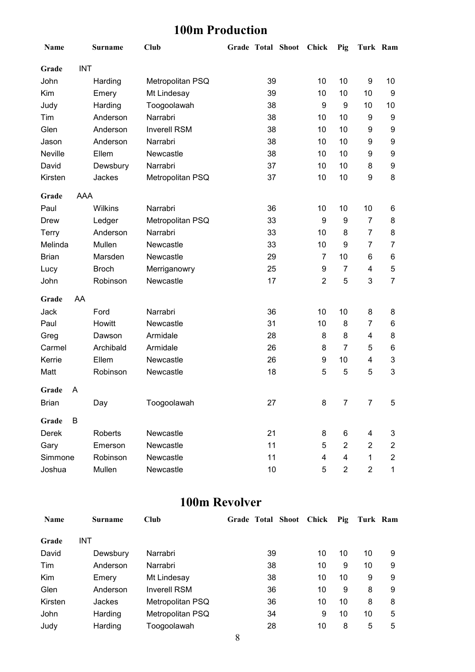## **100m Production**

| Name           |            | Surname      | <b>Club</b>         |    | Grade Total Shoot Chick |                | Pig            | Turk Ram       |                           |
|----------------|------------|--------------|---------------------|----|-------------------------|----------------|----------------|----------------|---------------------------|
| Grade          | <b>INT</b> |              |                     |    |                         |                |                |                |                           |
| John           |            | Harding      | Metropolitan PSQ    | 39 |                         | 10             | 10             | 9              | 10                        |
| Kim            |            | Emery        | Mt Lindesay         | 39 |                         | 10             | 10             | 10             | 9                         |
| Judy           |            | Harding      | Toogoolawah         | 38 |                         | 9              | 9              | 10             | 10                        |
| Tim            |            | Anderson     | Narrabri            | 38 |                         | 10             | 10             | 9              | 9                         |
| Glen           |            | Anderson     | <b>Inverell RSM</b> | 38 |                         | 10             | 10             | 9              | 9                         |
| Jason          |            | Anderson     | Narrabri            | 38 |                         | 10             | 10             | 9              | 9                         |
| <b>Neville</b> |            | Ellem        | Newcastle           | 38 |                         | 10             | 10             | 9              | 9                         |
| David          |            | Dewsbury     | Narrabri            | 37 |                         | 10             | 10             | 8              | 9                         |
| Kirsten        |            | Jackes       | Metropolitan PSQ    | 37 |                         | 10             | 10             | 9              | 8                         |
| Grade          | <b>AAA</b> |              |                     |    |                         |                |                |                |                           |
| Paul           |            | Wilkins      | Narrabri            | 36 |                         | 10             | 10             | 10             | 6                         |
| Drew           |            | Ledger       | Metropolitan PSQ    | 33 |                         | 9              | 9              | 7              | 8                         |
| <b>Terry</b>   |            | Anderson     | Narrabri            | 33 |                         | 10             | 8              | $\overline{7}$ | 8                         |
| Melinda        |            | Mullen       | Newcastle           | 33 |                         | 10             | 9              | $\overline{7}$ | $\overline{7}$            |
| <b>Brian</b>   |            | Marsden      | Newcastle           | 29 |                         | 7              | 10             | 6              | 6                         |
| Lucy           |            | <b>Broch</b> | Merriganowry        | 25 |                         | 9              | $\overline{7}$ | 4              | 5                         |
| John           |            | Robinson     | Newcastle           | 17 |                         | $\overline{2}$ | 5              | 3              | $\overline{7}$            |
| Grade          | AA         |              |                     |    |                         |                |                |                |                           |
| Jack           |            | Ford         | Narrabri            | 36 |                         | 10             | 10             | 8              | 8                         |
| Paul           |            | Howitt       | Newcastle           | 31 |                         | 10             | 8              | 7              | 6                         |
| Greg           |            | Dawson       | Armidale            | 28 |                         | 8              | 8              | 4              | 8                         |
| Carmel         |            | Archibald    | Armidale            | 26 |                         | 8              | $\overline{7}$ | 5              | 6                         |
| Kerrie         |            | Ellem        | Newcastle           | 26 |                         | 9              | 10             | 4              | $\ensuremath{\mathsf{3}}$ |
| Matt           |            | Robinson     | Newcastle           | 18 |                         | 5              | 5              | 5              | $\mathbf{3}$              |
| Grade          | A          |              |                     |    |                         |                |                |                |                           |
| <b>Brian</b>   |            | Day          | Toogoolawah         | 27 |                         | 8              | $\overline{7}$ | $\overline{7}$ | 5                         |
| Grade          | В          |              |                     |    |                         |                |                |                |                           |
| Derek          |            | Roberts      | Newcastle           | 21 |                         | 8              | 6              | 4              | 3                         |
| Gary           |            | Emerson      | Newcastle           | 11 |                         | 5              | $\overline{2}$ | $\overline{2}$ | $\overline{\mathbf{c}}$   |
| Simmone        |            | Robinson     | Newcastle           | 11 |                         | 4              | 4              | $\mathbf 1$    | $\overline{2}$            |
| Joshua         |            | Mullen       | Newcastle           | 10 |                         | 5              | $\overline{2}$ | $\overline{2}$ | 1                         |

#### **100m Revolver**

| <b>Name</b> | Surname    | <b>Club</b>         |    | Grade Total Shoot Chick | Pig | Turk Ram |   |
|-------------|------------|---------------------|----|-------------------------|-----|----------|---|
| Grade       | <b>INT</b> |                     |    |                         |     |          |   |
| David       | Dewsbury   | Narrabri            | 39 | 10                      | 10  | 10       | 9 |
| Tim         | Anderson   | Narrabri            | 38 | 10                      | 9   | 10       | 9 |
| Kim         | Emery      | Mt Lindesay         | 38 | 10                      | 10  | 9        | 9 |
| Glen        | Anderson   | <b>Inverell RSM</b> | 36 | 10                      | 9   | 8        | 9 |
| Kirsten     | Jackes     | Metropolitan PSQ    | 36 | 10                      | 10  | 8        | 8 |
| John        | Harding    | Metropolitan PSQ    | 34 | 9                       | 10  | 10       | 5 |
| Judy        | Harding    | Toogoolawah         | 28 | 10                      | 8   | 5        | 5 |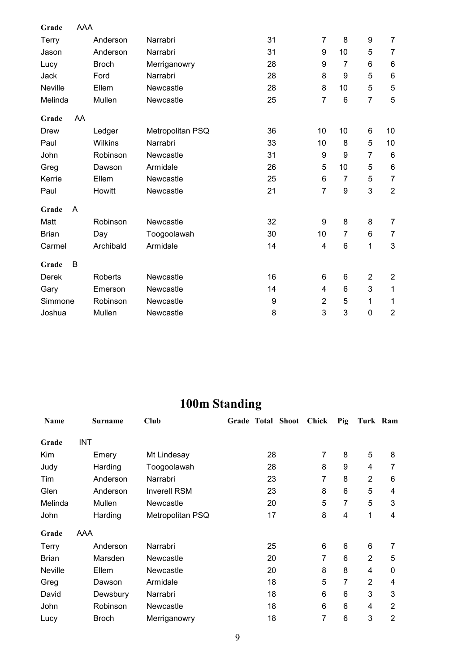| Grade          | <b>AAA</b> |                |                  |    |                |                  |                |                |
|----------------|------------|----------------|------------------|----|----------------|------------------|----------------|----------------|
| <b>Terry</b>   |            | Anderson       | Narrabri         | 31 | $\overline{7}$ | 8                | 9              | $\overline{7}$ |
| Jason          |            | Anderson       | Narrabri         | 31 | 9              | 10               | 5              | $\overline{7}$ |
| Lucy           |            | <b>Broch</b>   | Merriganowry     | 28 | 9              | $\overline{7}$   | 6              | 6              |
| Jack           |            | Ford           | Narrabri         | 28 | 8              | 9                | 5              | $\,6$          |
| <b>Neville</b> |            | Ellem          | Newcastle        | 28 | 8              | 10               | 5              | $\sqrt{5}$     |
| Melinda        |            | Mullen         | Newcastle        | 25 | $\overline{7}$ | $6\phantom{1}$   | $\overline{7}$ | 5              |
| Grade          | AA         |                |                  |    |                |                  |                |                |
| Drew           |            | Ledger         | Metropolitan PSQ | 36 | 10             | 10               | 6              | 10             |
| Paul           |            | <b>Wilkins</b> | Narrabri         | 33 | 10             | 8                | 5              | 10             |
| John           |            | Robinson       | Newcastle        | 31 | 9              | 9                | 7              | $\,6$          |
| Greg           |            | Dawson         | Armidale         | 26 | 5              | 10               | 5              | $\,6$          |
| Kerrie         |            | Ellem          | Newcastle        | 25 | 6              | $\overline{7}$   | 5              | $\overline{7}$ |
| Paul           |            | Howitt         | Newcastle        | 21 | $\overline{7}$ | $\boldsymbol{9}$ | 3              | $\overline{2}$ |
| Grade          | A          |                |                  |    |                |                  |                |                |
| Matt           |            | Robinson       | Newcastle        | 32 | 9              | 8                | 8              | $\overline{7}$ |
| <b>Brian</b>   |            | Day            | Toogoolawah      | 30 | 10             | $\overline{7}$   | 6              | 7              |
| Carmel         |            | Archibald      | Armidale         | 14 | 4              | 6                | $\mathbf 1$    | 3              |
| Grade          | В          |                |                  |    |                |                  |                |                |
| Derek          |            | <b>Roberts</b> | Newcastle        | 16 | 6              | 6                | $\overline{2}$ | $\overline{c}$ |
| Gary           |            | Emerson        | Newcastle        | 14 | 4              | 6                | 3              | 1              |
| Simmone        |            | Robinson       | Newcastle        | 9  | $\overline{2}$ | 5                | 1              | 1              |
| Joshua         |            | Mullen         | Newcastle        | 8  | 3              | 3                | 0              | $\overline{2}$ |

# **100m Standing**

| <b>Name</b>  |            | <b>Surname</b> | Club                |    | Grade Total Shoot | <b>Chick</b> | Pig | Turk Ram       |                |
|--------------|------------|----------------|---------------------|----|-------------------|--------------|-----|----------------|----------------|
| Grade        | <b>INT</b> |                |                     |    |                   |              |     |                |                |
| Kim          |            | Emery          | Mt Lindesay         | 28 |                   | 7            | 8   | 5              | 8              |
| Judy         |            | Harding        | Toogoolawah         | 28 |                   | 8            | 9   | 4              | 7              |
| Tim          |            | Anderson       | Narrabri            | 23 |                   | 7            | 8   | 2              | 6              |
| Glen         |            | Anderson       | <b>Inverell RSM</b> | 23 |                   | 8            | 6   | 5              | 4              |
| Melinda      |            | Mullen         | <b>Newcastle</b>    | 20 |                   | 5            | 7   | 5              | 3              |
| John         |            | Harding        | Metropolitan PSQ    | 17 |                   | 8            | 4   | 1              | 4              |
| Grade        | AAA        |                |                     |    |                   |              |     |                |                |
| Terry        |            | Anderson       | Narrabri            | 25 |                   | 6            | 6   | 6              | 7              |
| <b>Brian</b> |            | Marsden        | <b>Newcastle</b>    | 20 |                   | 7            | 6   | $\overline{2}$ | 5              |
| Neville      |            | Ellem          | <b>Newcastle</b>    | 20 |                   | 8            | 8   | 4              | $\mathbf{0}$   |
| Greg         |            | Dawson         | Armidale            | 18 |                   | 5            | 7   | 2              | 4              |
| David        |            | Dewsbury       | Narrabri            | 18 |                   | 6            | 6   | 3              | 3              |
| John         |            | Robinson       | <b>Newcastle</b>    | 18 |                   | 6            | 6   | 4              | $\overline{2}$ |
| Lucy         |            | <b>Broch</b>   | Merriganowry        | 18 |                   | 7            | 6   | 3              | $\overline{2}$ |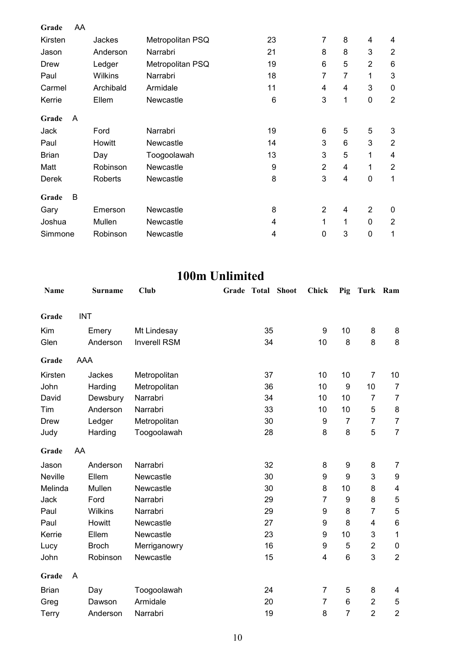| Grade        | AA |           |                  |    |                |                |                |                 |
|--------------|----|-----------|------------------|----|----------------|----------------|----------------|-----------------|
| Kirsten      |    | Jackes    | Metropolitan PSQ | 23 | $\overline{7}$ | 8              | 4              | 4               |
| Jason        |    | Anderson  | Narrabri         | 21 | 8              | 8              | 3              | 2               |
| Drew         |    | Ledger    | Metropolitan PSQ | 19 | 6              | 5              | $\overline{2}$ | $6\phantom{1}6$ |
| Paul         |    | Wilkins   | Narrabri         | 18 | 7              | $\overline{7}$ | 1              | 3               |
| Carmel       |    | Archibald | Armidale         | 11 | 4              | 4              | 3              | $\mathbf 0$     |
| Kerrie       |    | Ellem     | Newcastle        | 6  | 3              | 1              | 0              | $\overline{2}$  |
| Grade        | A  |           |                  |    |                |                |                |                 |
| Jack         |    | Ford      | Narrabri         | 19 | 6              | 5              | 5              | 3               |
| Paul         |    | Howitt    | Newcastle        | 14 | 3              | 6              | 3              | $\overline{2}$  |
| <b>Brian</b> |    | Day       | Toogoolawah      | 13 | 3              | 5              | 1              | 4               |
| Matt         |    | Robinson  | Newcastle        | 9  | $\overline{2}$ | 4              | 1              | $\overline{2}$  |
| Derek        |    | Roberts   | Newcastle        | 8  | 3              | 4              | $\mathbf 0$    | 1               |
| Grade        | B  |           |                  |    |                |                |                |                 |
| Gary         |    | Emerson   | Newcastle        | 8  | $\overline{2}$ | 4              | $\overline{2}$ | 0               |
| Joshua       |    | Mullen    | <b>Newcastle</b> | 4  | 1              | 1              | $\mathbf{0}$   | 2               |
| Simmone      |    | Robinson  | <b>Newcastle</b> | 4  | 0              | 3              | $\mathbf 0$    | 1               |

### **100m Unlimited**

| Name           |            | <b>Surname</b> | <b>Club</b>         | Grade | <b>Total</b> | <b>Shoot</b> | <b>Chick</b>            | Pig              | Turk Ram       |                  |
|----------------|------------|----------------|---------------------|-------|--------------|--------------|-------------------------|------------------|----------------|------------------|
| Grade          | <b>INT</b> |                |                     |       |              |              |                         |                  |                |                  |
|                |            |                |                     |       |              |              |                         |                  |                |                  |
| Kim            |            | Emery          | Mt Lindesay         |       | 35           |              | $\boldsymbol{9}$        | 10               | 8              | 8                |
| Glen           |            | Anderson       | <b>Inverell RSM</b> |       | 34           |              | 10                      | 8                | 8              | 8                |
| Grade          | <b>AAA</b> |                |                     |       |              |              |                         |                  |                |                  |
| Kirsten        |            | Jackes         | Metropolitan        |       | 37           |              | 10                      | 10               | $\overline{7}$ | 10               |
| John           |            | Harding        | Metropolitan        |       | 36           |              | 10                      | 9                | 10             | $\overline{7}$   |
| David          |            | Dewsbury       | Narrabri            |       | 34           |              | 10                      | 10               | $\overline{7}$ | $\overline{7}$   |
| Tim            |            | Anderson       | Narrabri            |       | 33           |              | 10                      | 10               | 5              | 8                |
| Drew           |            | Ledger         | Metropolitan        |       | 30           |              | 9                       | $\overline{7}$   | $\overline{7}$ | $\overline{7}$   |
| Judy           |            | Harding        | Toogoolawah         |       | 28           |              | 8                       | 8                | 5              | $\overline{7}$   |
| Grade          | AA         |                |                     |       |              |              |                         |                  |                |                  |
| Jason          |            | Anderson       | Narrabri            |       | 32           |              | 8                       | $\boldsymbol{9}$ | 8              | 7                |
| <b>Neville</b> |            | Ellem          | Newcastle           |       | 30           |              | 9                       | 9                | 3              | $\boldsymbol{9}$ |
| Melinda        |            | Mullen         | Newcastle           |       | 30           |              | 8                       | 10               | 8              | 4                |
| Jack           |            | Ford           | Narrabri            |       | 29           |              | $\overline{7}$          | 9                | 8              | $\mathbf 5$      |
| Paul           |            | Wilkins        | Narrabri            |       | 29           |              | 9                       | 8                | $\overline{7}$ | 5                |
| Paul           |            | Howitt         | Newcastle           |       | 27           |              | $\boldsymbol{9}$        | 8                | 4              | $\,6$            |
| Kerrie         |            | Ellem          | Newcastle           |       | 23           |              | 9                       | 10               | 3              | 1                |
| Lucy           |            | <b>Broch</b>   | Merriganowry        |       | 16           |              | $\boldsymbol{9}$        | 5                | $\overline{c}$ | $\pmb{0}$        |
| John           |            | Robinson       | Newcastle           |       | 15           |              | $\overline{\mathbf{4}}$ | $\,6$            | 3              | $\overline{2}$   |
| Grade          | A          |                |                     |       |              |              |                         |                  |                |                  |
| <b>Brian</b>   | Day        |                | Toogoolawah         |       | 24           |              | $\overline{7}$          | 5                | 8              | 4                |
| Greg           |            | Dawson         | Armidale            |       | 20           |              | $\overline{7}$          | 6                | $\overline{2}$ | 5                |
| Terry          |            | Anderson       | Narrabri            |       | 19           |              | 8                       | $\overline{7}$   | $\overline{2}$ | $\overline{2}$   |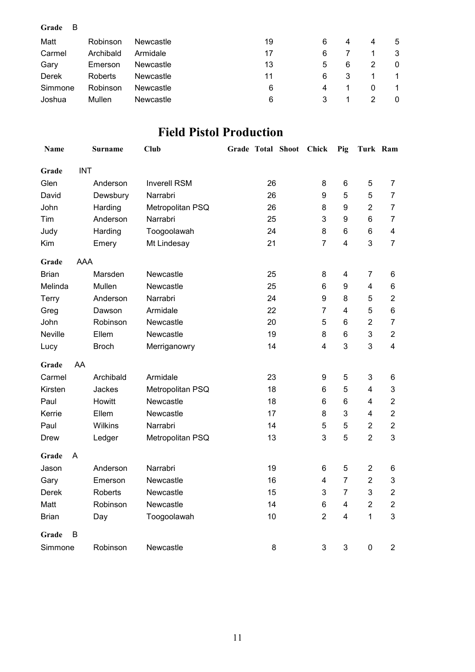| Grade<br>B |           |           |    |   |   |   |              |
|------------|-----------|-----------|----|---|---|---|--------------|
| Matt       | Robinson  | Newcastle | 19 | 6 | 4 | 4 | 5            |
| Carmel     | Archibald | Armidale  | 17 | 6 |   |   | 3            |
| Gary       | Emerson   | Newcastle | 13 | 5 | 6 |   | $\mathbf{0}$ |
| Derek      | Roberts   | Newcastle | 11 | 6 | 3 |   |              |
| Simmone    | Robinson  | Newcastle | 6  | 4 |   | 0 |              |
| Joshua     | Mullen    | Newcastle | 6  |   |   |   | $\bf{0}$     |

## **Field Pistol Production**

| <b>Name</b>    |            | Surname      | <b>Club</b>         |    | Grade Total Shoot | Chick                   | Pig                     | Turk Ram                |                           |
|----------------|------------|--------------|---------------------|----|-------------------|-------------------------|-------------------------|-------------------------|---------------------------|
| Grade          | <b>INT</b> |              |                     |    |                   |                         |                         |                         |                           |
| Glen           |            | Anderson     | <b>Inverell RSM</b> | 26 |                   | 8                       | 6                       | 5                       | $\overline{7}$            |
| David          |            | Dewsbury     | Narrabri            | 26 |                   | 9                       | 5                       | 5                       | $\overline{7}$            |
| John           |            | Harding      | Metropolitan PSQ    | 26 |                   | 8                       | 9                       | $\overline{2}$          | $\overline{7}$            |
| Tim            |            | Anderson     | Narrabri            | 25 |                   | 3                       | 9                       | $\,6$                   | $\overline{7}$            |
| Judy           |            | Harding      | Toogoolawah         | 24 |                   | 8                       | 6                       | 6                       | $\overline{\mathbf{4}}$   |
| Kim            |            | Emery        | Mt Lindesay         | 21 |                   | $\overline{7}$          | $\overline{4}$          | 3                       | $\overline{7}$            |
| Grade          | <b>AAA</b> |              |                     |    |                   |                         |                         |                         |                           |
| <b>Brian</b>   |            | Marsden      | Newcastle           | 25 |                   | 8                       | $\overline{\mathbf{4}}$ | 7                       | 6                         |
| Melinda        |            | Mullen       | Newcastle           | 25 |                   | $6\phantom{1}6$         | 9                       | $\overline{\mathbf{4}}$ | $\,6$                     |
| Terry          |            | Anderson     | Narrabri            | 24 |                   | 9                       | 8                       | 5                       | $\boldsymbol{2}$          |
| Greg           |            | Dawson       | Armidale            | 22 |                   | $\overline{7}$          | $\overline{4}$          | 5                       | $\,6$                     |
| John           |            | Robinson     | Newcastle           | 20 |                   | 5                       | 6                       | $\overline{2}$          | $\overline{7}$            |
| <b>Neville</b> |            | Ellem        | Newcastle           | 19 |                   | 8                       | 6                       | 3                       | $\overline{2}$            |
| Lucy           |            | <b>Broch</b> | Merriganowry        | 14 |                   | $\overline{\mathbf{4}}$ | 3                       | 3                       | $\overline{\mathbf{4}}$   |
| Grade          | AA         |              |                     |    |                   |                         |                         |                         |                           |
| Carmel         |            | Archibald    | Armidale            | 23 |                   | 9                       | 5                       | 3                       | $\,6$                     |
| Kirsten        |            | Jackes       | Metropolitan PSQ    | 18 |                   | $\,6$                   | 5                       | 4                       | $\mathsf 3$               |
| Paul           |            | Howitt       | Newcastle           | 18 |                   | 6                       | 6                       | 4                       | $\overline{2}$            |
| Kerrie         |            | Ellem        | Newcastle           | 17 |                   | 8                       | 3                       | 4                       | $\overline{2}$            |
| Paul           |            | Wilkins      | Narrabri            | 14 |                   | 5                       | 5                       | $\overline{2}$          | $\overline{2}$            |
| Drew           |            | Ledger       | Metropolitan PSQ    | 13 |                   | 3                       | 5                       | $\overline{2}$          | 3                         |
| Grade          | Α          |              |                     |    |                   |                         |                         |                         |                           |
| Jason          |            | Anderson     | Narrabri            | 19 |                   | 6                       | 5                       | $\overline{2}$          | 6                         |
| Gary           |            | Emerson      | Newcastle           | 16 |                   | $\overline{\mathbf{4}}$ | $\overline{7}$          | $\overline{2}$          | $\ensuremath{\mathsf{3}}$ |
| <b>Derek</b>   |            | Roberts      | Newcastle           | 15 |                   | 3                       | $\overline{7}$          | 3                       | $\boldsymbol{2}$          |
| Matt           |            | Robinson     | Newcastle           | 14 |                   | $6\phantom{1}$          | $\overline{\mathbf{4}}$ | $\overline{2}$          | $\boldsymbol{2}$          |
| <b>Brian</b>   |            | Day          | Toogoolawah         | 10 |                   | $\overline{2}$          | $\overline{4}$          | $\mathbf{1}$            | 3                         |
| Grade          | B          |              |                     |    |                   |                         |                         |                         |                           |
| Simmone        |            | Robinson     | Newcastle           | 8  |                   | 3                       | 3                       | $\mathbf 0$             | $\sqrt{2}$                |